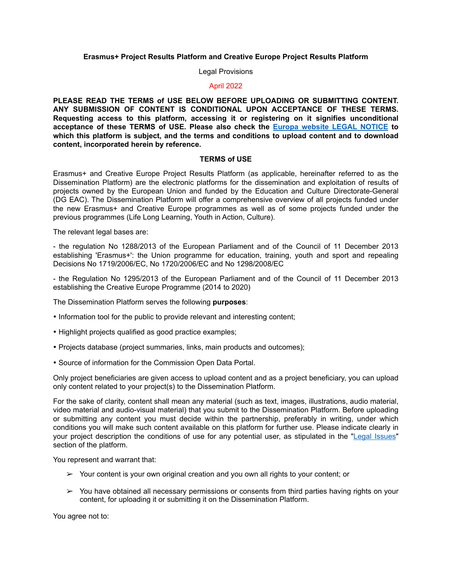# **Erasmus+ Project Results Platform and Creative Europe Project Results Platform**

#### Legal Provisions

## April 2022

**PLEASE READ THE TERMS of USE BELOW BEFORE UPLOADING OR SUBMITTING CONTENT. ANY SUBMISSION OF CONTENT IS CONDITIONAL UPON ACCEPTANCE OF THESE TERMS. Requesting access to this platform, accessing it or registering on it signifies unconditional acceptance of these TERMS of USE. Please also check the [Europa website LEGAL NOTICE](https://ec.europa.eu/info/legal-notice_en) to which this platform is subject, and the terms and conditions to upload content and to download content, incorporated herein by reference.** 

### **TERMS of USE**

Erasmus+ and Creative Europe Project Results Platform (as applicable, hereinafter referred to as the Dissemination Platform) are the electronic platforms for the dissemination and exploitation of results of projects owned by the European Union and funded by the Education and Culture Directorate-General (DG EAC). The Dissemination Platform will offer a comprehensive overview of all projects funded under the new Erasmus+ and Creative Europe programmes as well as of some projects funded under the previous programmes (Life Long Learning, Youth in Action, Culture).

The relevant legal bases are:

- the regulation No 1288/2013 of the European Parliament and of the Council of 11 December 2013 establishing 'Erasmus+': the Union programme for education, training, youth and sport and repealing Decisions No 1719/2006/EC, No 1720/2006/EC and No 1298/2008/EC

- the Regulation No 1295/2013 of the European Parliament and of the Council of 11 December 2013 establishing the Creative Europe Programme (2014 to 2020)

The Dissemination Platform serves the following **purposes**:

- Information tool for the public to provide relevant and interesting content;
- Highlight projects qualified as good practice examples;
- Projects database (project summaries, links, main products and outcomes);
- Source of information for the Commission Open Data Portal.

Only project beneficiaries are given access to upload content and as a project beneficiary, you can upload only content related to your project(s) to the Dissemination Platform.

For the sake of clarity, content shall mean any material (such as text, images, illustrations, audio material, video material and audio-visual material) that you submit to the Dissemination Platform. Before uploading or submitting any content you must decide within the partnership, preferably in writing, under which conditions you will make such content available on this platform for further use. Please indicate clearly in your project description the conditions of use for any potential user, as stipulated in the ["Legal Issues](https://ec.europa.eu/programmes/erasmus-plus/projects/legal-issues_en)" section of the platform.

You represent and warrant that:

- $\triangleright$  Your content is your own original creation and you own all rights to your content; or
- $\geq$  You have obtained all necessary permissions or consents from third parties having rights on your content, for uploading it or submitting it on the Dissemination Platform.

You agree not to: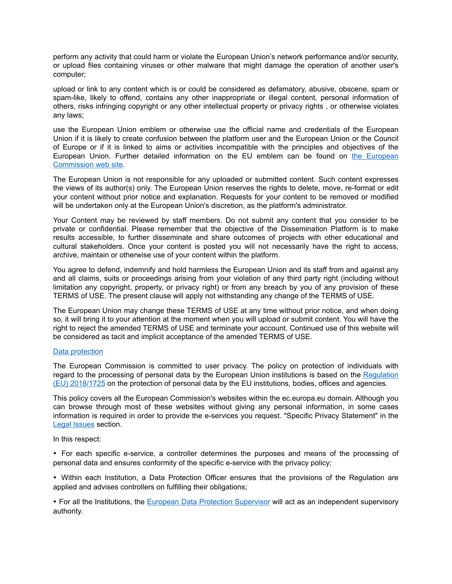perform any activity that could harm or violate the European Union's network performance and/or security, or upload files containing viruses or other malware that might damage the operation of another user's computer;

upload or link to any content which is or could be considered as defamatory, abusive, obscene, spam or spam-like, likely to offend, contains any other inappropriate or illegal content, personal information of others, risks infringing copyright or any other intellectual property or privacy rights , or otherwise violates any laws;

use the European Union emblem or otherwise use the official name and credentials of the European Union if it is likely to create confusion between the platform user and the European Union or the Council of Europe or if it is linked to aims or activities incompatible with the principles and objectives of the European Union. Further detailed information on the EU emblem can be found on [the European](https://ec.europa.eu/info/resources-partners/european-commission-visual-identity_en) [Commission web site](https://ec.europa.eu/info/resources-partners/european-commission-visual-identity_en).

The European Union is not responsible for any uploaded or submitted content. Such content expresses the views of its author(s) only. The European Union reserves the rights to delete, move, re-format or edit your content without prior notice and explanation. Requests for your content to be removed or modified will be undertaken only at the European Union's discretion, as the platform's administrator.

Your Content may be reviewed by staff members. Do not submit any content that you consider to be private or confidential. Please remember that the objective of the Dissemination Platform is to make results accessible, to further disseminate and share outcomes of projects with other educational and cultural stakeholders. Once your content is posted you will not necessarily have the right to access, archive, maintain or otherwise use of your content within the platform.

You agree to defend, indemnify and hold harmless the European Union and its staff from and against any and all claims, suits or proceedings arising from your violation of any third party right (including without limitation any copyright, property, or privacy right) or from any breach by you of any provision of these TERMS of USE. The present clause will apply not withstanding any change of the TERMS of USE.

The European Union may change these TERMS of USE at any time without prior notice, and when doing so, it will bring it to your attention at the moment when you will upload or submit content. You will have the right to reject the amended TERMS of USE and terminate your account. Continued use of this website will be considered as tacit and implicit acceptance of the amended TERMS of USE.

## [Data protection](https://ec.europa.eu/info/privacy-policy_en)

The European Commission is committed to user privacy. The policy on protection of individuals with regard to the processing of personal data by the European Union institutions is based on the [Regulation](https://eur-lex.europa.eu/legal-content/EN/TXT/?uri=CELEX:32018R1725) [\(EU\) 2018/1725](https://eur-lex.europa.eu/legal-content/EN/TXT/?uri=CELEX:32018R1725) on the protection of personal data by the EU institutions, bodies, offices and agencies.

This policy covers all the European Commission's websites within the ec.europa.eu domain. Although you can browse through most of these websites without giving any personal information, in some cases information is required in order to provide the e-services you request. "Specific Privacy Statement" in the [Legal Issues](https://ec.europa.eu/programmes/erasmus-plus/projects/legal-issues_en) section.

In this respect:

• For each specific e-service, a controller determines the purposes and means of the processing of personal data and ensures conformity of the specific e-service with the privacy policy;

• Within each Institution, a Data Protection Officer ensures that the provisions of the Regulation are applied and advises controllers on fulfilling their obligations;

• For all the Institutions, the [European Data Protection Supervisor](https://edps.europa.eu/data-protection/data-protection/legislation_en#:~:text=The%2520European%2520Commission%2520adopted%2520the,the%2520European%2520Data%2520Protection%2520Supervisor.) will act as an independent supervisory authority.